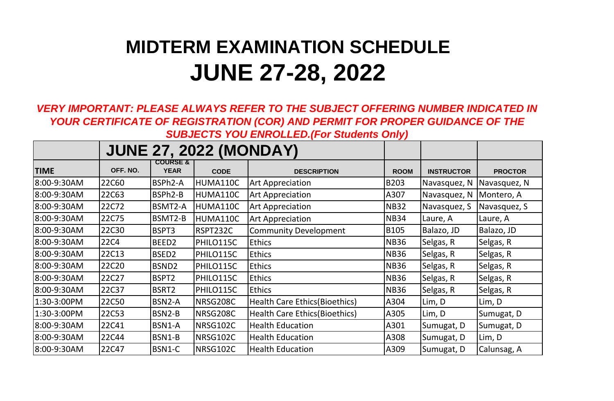## **MIDTERM EXAMINATION SCHEDULE JUNE 27-28, 2022**

*VERY IMPORTANT: PLEASE ALWAYS REFER TO THE SUBJECT OFFERING NUMBER INDICATED IN YOUR CERTIFICATE OF REGISTRATION (COR) AND PERMIT FOR PROPER GUIDANCE OF THE SUBJECTS YOU ENROLLED.(For Students Only)*

|             | <b>JUNE 27, 2022 (MONDAY)</b> |                                    |             |                                       |             |                   |                |
|-------------|-------------------------------|------------------------------------|-------------|---------------------------------------|-------------|-------------------|----------------|
| <b>TIME</b> | OFF. NO.                      | <b>COURSE &amp;</b><br><b>YEAR</b> | <b>CODE</b> | <b>DESCRIPTION</b>                    | <b>ROOM</b> | <b>INSTRUCTOR</b> | <b>PROCTOR</b> |
| 8:00-9:30AM | 22C60                         | BSPh2-A                            | HUMA110C    | <b>Art Appreciation</b>               | <b>B203</b> | Navasquez, N      | Navasquez, N   |
| 8:00-9:30AM | 22C63                         | BSPh2-B                            | HUMA110C    | <b>Art Appreciation</b>               | A307        | Navasquez, N      | Montero, A     |
| 8:00-9:30AM | 22C72                         | BSMT2-A                            | HUMA110C    | <b>Art Appreciation</b>               | <b>NB32</b> | Navasquez, S      | Navasquez, S   |
| 8:00-9:30AM | 22C75                         | BSMT2-B                            | HUMA110C    | <b>Art Appreciation</b>               | <b>NB34</b> | Laure, A          | Laure, A       |
| 8:00-9:30AM | 22C30                         | BSPT3                              | RSPT232C    | <b>Community Development</b>          | <b>B105</b> | Balazo, JD        | Balazo, JD     |
| 8:00-9:30AM | <b>22C4</b>                   | BEED <sub>2</sub>                  | PHILO115C   | <b>Ethics</b>                         | <b>NB36</b> | Selgas, R         | Selgas, R      |
| 8:00-9:30AM | 22C13                         | BSED <sub>2</sub>                  | PHILO115C   | <b>Ethics</b>                         | <b>NB36</b> | Selgas, R         | Selgas, R      |
| 8:00-9:30AM | 22C20                         | BSND <sub>2</sub>                  | PHILO115C   | <b>Ethics</b>                         | <b>NB36</b> | Selgas, R         | Selgas, R      |
| 8:00-9:30AM | 22C27                         | BSPT2                              | PHILO115C   | <b>Ethics</b>                         | <b>NB36</b> | Selgas, R         | Selgas, R      |
| 8:00-9:30AM | 22C37                         | BSRT2                              | PHILO115C   | <b>Ethics</b>                         | <b>NB36</b> | Selgas, R         | Selgas, R      |
| 1:30-3:00PM | 22C50                         | BSN2-A                             | NRSG208C    | Health Care Ethics (Bioethics)        | A304        | Lim, D            | Lim, D         |
| 1:30-3:00PM | 22C53                         | BSN2-B                             | NRSG208C    | <b>Health Care Ethics (Bioethics)</b> | A305        | Lim, D            | Sumugat, D     |
| 8:00-9:30AM | 22C41                         | BSN1-A                             | NRSG102C    | <b>Health Education</b>               | A301        | Sumugat, D        | Sumugat, D     |
| 8:00-9:30AM | <b>22C44</b>                  | BSN1-B                             | NRSG102C    | <b>Health Education</b>               | A308        | Sumugat, D        | Lim, D         |
| 8:00-9:30AM | <b>22C47</b>                  | BSN1-C                             | NRSG102C    | <b>Health Education</b>               | A309        | Sumugat, D        | Calunsag, A    |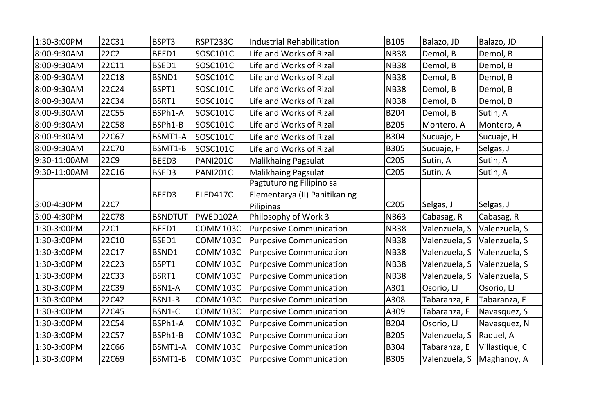| 1:30-3:00PM  | <b>22C31</b> | BSPT3          | RSPT233C        | <b>Industrial Rehabilitation</b> | <b>B105</b>      | Balazo, JD    | Balazo, JD     |
|--------------|--------------|----------------|-----------------|----------------------------------|------------------|---------------|----------------|
| 8:00-9:30AM  | 22C2         | BEED1          | SOSC101C        | Life and Works of Rizal          | <b>NB38</b>      | Demol, B      | Demol, B       |
| 8:00-9:30AM  | 22C11        | BSED1          | SOSC101C        | Life and Works of Rizal          | <b>NB38</b>      | Demol, B      | Demol, B       |
| 8:00-9:30AM  | <b>22C18</b> | BSND1          | SOSC101C        | Life and Works of Rizal          | <b>NB38</b>      | Demol, B      | Demol, B       |
| 8:00-9:30AM  | 22C24        | BSPT1          | SOSC101C        | Life and Works of Rizal          | <b>NB38</b>      | Demol, B      | Demol, B       |
| 8:00-9:30AM  | <b>22C34</b> | BSRT1          | SOSC101C        | Life and Works of Rizal          | <b>NB38</b>      | Demol, B      | Demol, B       |
| 8:00-9:30AM  | <b>22C55</b> | BSPh1-A        | SOSC101C        | Life and Works of Rizal          | B204             | Demol, B      | Sutin, A       |
| 8:00-9:30AM  | <b>22C58</b> | BSPh1-B        | SOSC101C        | Life and Works of Rizal          | <b>B205</b>      | Montero, A    | Montero, A     |
| 8:00-9:30AM  | <b>22C67</b> | BSMT1-A        | SOSC101C        | Life and Works of Rizal          | B304             | Sucuaje, H    | Sucuaje, H     |
| 8:00-9:30AM  | 22C70        | BSMT1-B        | SOSC101C        | Life and Works of Rizal          | <b>B305</b>      | Sucuaje, H    | Selgas, J      |
| 9:30-11:00AM | <b>22C9</b>  | BEED3          | <b>PANI201C</b> | <b>Malikhaing Pagsulat</b>       | C <sub>205</sub> | Sutin, A      | Sutin, A       |
| 9:30-11:00AM | <b>22C16</b> | BSED3          | <b>PANI201C</b> | <b>Malikhaing Pagsulat</b>       | C205             | Sutin, A      | Sutin, A       |
|              |              |                |                 | Pagtuturo ng Filipino sa         |                  |               |                |
|              |              | BEED3          | ELED417C        | Elementarya (II) Panitikan ng    |                  |               |                |
|              |              |                |                 |                                  |                  |               |                |
| 3:00-4:30PM  | <b>22C7</b>  |                |                 | Pilipinas                        | C205             | Selgas, J     | Selgas, J      |
| 3:00-4:30PM  | 22C78        | <b>BSNDTUT</b> | PWED102A        | Philosophy of Work 3             | <b>NB63</b>      | Cabasag, R    | Cabasag, R     |
| 1:30-3:00PM  | <b>22C1</b>  | BEED1          | COMM103C        | <b>Purposive Communication</b>   | <b>NB38</b>      | Valenzuela, S | Valenzuela, S  |
| 1:30-3:00PM  | 22C10        | BSED1          | COMM103C        | <b>Purposive Communication</b>   | <b>NB38</b>      | Valenzuela, S | Valenzuela, S  |
| 1:30-3:00PM  | 22C17        | BSND1          | COMM103C        | <b>Purposive Communication</b>   | <b>NB38</b>      | Valenzuela, S | Valenzuela, S  |
| 1:30-3:00PM  | <b>22C23</b> | BSPT1          | COMM103C        | <b>Purposive Communication</b>   | <b>NB38</b>      | Valenzuela, S | Valenzuela, S  |
| 1:30-3:00PM  | <b>22C33</b> | BSRT1          | COMM103C        | <b>Purposive Communication</b>   | <b>NB38</b>      | Valenzuela, S | Valenzuela, S  |
| 1:30-3:00PM  | <b>22C39</b> | BSN1-A         | COMM103C        | <b>Purposive Communication</b>   | A301             | Osorio, LJ    | Osorio, LJ     |
| 1:30-3:00PM  | <b>22C42</b> | BSN1-B         | COMM103C        | <b>Purposive Communication</b>   | A308             | Tabaranza, E  | Tabaranza, E   |
| 1:30-3:00PM  | <b>22C45</b> | BSN1-C         | COMM103C        | <b>Purposive Communication</b>   | A309             | Tabaranza, E  | Navasquez, S   |
| 1:30-3:00PM  | <b>22C54</b> | BSPh1-A        | COMM103C        | <b>Purposive Communication</b>   | B204             | Osorio, LJ    | Navasquez, N   |
| 1:30-3:00PM  | 22C57        | BSPh1-B        | COMM103C        | <b>Purposive Communication</b>   | <b>B205</b>      | Valenzuela, S | Raquel, A      |
| 1:30-3:00PM  | <b>22C66</b> | BSMT1-A        | COMM103C        | <b>Purposive Communication</b>   | <b>B304</b>      | Tabaranza, E  | Villastique, C |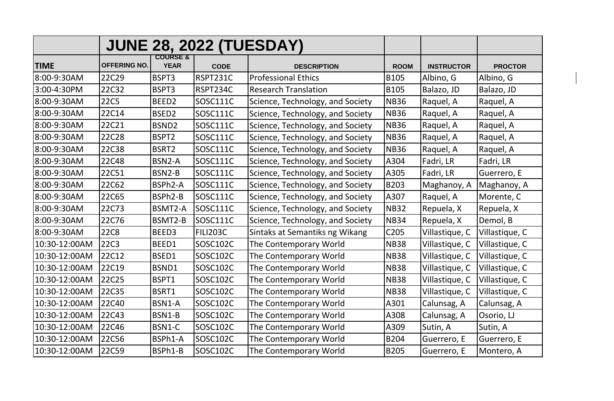|               |                     |                                    |                 | <b>JUNE 28, 2022 (TUESDAY)</b>   |             |                   |                |
|---------------|---------------------|------------------------------------|-----------------|----------------------------------|-------------|-------------------|----------------|
| <b>TIME</b>   | <b>OFFERING NO.</b> | <b>COURSE &amp;</b><br><b>YEAR</b> | <b>CODE</b>     | <b>DESCRIPTION</b>               | <b>ROOM</b> | <b>INSTRUCTOR</b> | <b>PROCTOR</b> |
| 8:00-9:30AM   | 22C29               | BSPT3                              | RSPT231C        | <b>Professional Ethics</b>       | <b>B105</b> | Albino, G         | Albino, G      |
| 3:00-4:30PM   | 22C32               | BSPT3                              | RSPT234C        | <b>Research Translation</b>      | <b>B105</b> | Balazo, JD        | Balazo, JD     |
| 8:00-9:30AM   | <b>22C5</b>         | BEED <sub>2</sub>                  | SOSC111C        | Science, Technology, and Society | <b>NB36</b> | Raquel, A         | Raquel, A      |
| 8:00-9:30AM   | 22C14               | BSED <sub>2</sub>                  | <b>SOSC111C</b> | Science, Technology, and Society | <b>NB36</b> | Raquel, A         | Raquel, A      |
| 8:00-9:30AM   | 22C21               | BSND <sub>2</sub>                  | <b>SOSC111C</b> | Science, Technology, and Society | <b>NB36</b> | Raquel, A         | Raquel, A      |
| 8:00-9:30AM   | <b>22C28</b>        | BSPT2                              | SOSC111C        | Science, Technology, and Society | <b>NB36</b> | Raquel, A         | Raquel, A      |
| 8:00-9:30AM   | <b>22C38</b>        | BSRT2                              | <b>SOSC111C</b> | Science, Technology, and Society | <b>NB36</b> | Raquel, A         | Raquel, A      |
| 8:00-9:30AM   | 22C48               | BSN2-A                             | <b>SOSC111C</b> | Science, Technology, and Society | A304        | Fadri, LR         | Fadri, LR      |
| 8:00-9:30AM   | <b>22C51</b>        | BSN2-B                             | SOSC111C        | Science, Technology, and Society | A305        | Fadri, LR         | Guerrero, E    |
| 8:00-9:30AM   | 22C62               | BSPh2-A                            | SOSC111C        | Science, Technology, and Society | <b>B203</b> | Maghanoy, A       | Maghanoy, A    |
| 8:00-9:30AM   | 22C65               | BSPh2-B                            | SOSC111C        | Science, Technology, and Society | A307        | Raquel, A         | Morente, C     |
| 8:00-9:30AM   | 22C73               | BSMT2-A                            | SOSC111C        | Science, Technology, and Society | <b>NB32</b> | Repuela, X        | Repuela, X     |
| 8:00-9:30AM   | <b>22C76</b>        | BSMT2-B                            | SOSC111C        | Science, Technology, and Society | <b>NB34</b> | Repuela, X        | Demol, B       |
| 8:00-9:30AM   | <b>22C8</b>         | BEED3                              | <b>FILI203C</b> | Sintaks at Semantiks ng Wikang   | C205        | Villastique, C    | Villastique, C |
| 10:30-12:00AM | <b>22C3</b>         | BEED1                              | SOSC102C        | The Contemporary World           | <b>NB38</b> | Villastique, C    | Villastique, C |
| 10:30-12:00AM | 22C12               | BSED1                              | SOSC102C        | The Contemporary World           | <b>NB38</b> | Villastique, C    | Villastique, C |
| 10:30-12:00AM | 22C19               | BSND1                              | SOSC102C        | The Contemporary World           | <b>NB38</b> | Villastique, C    | Villastique, C |
| 10:30-12:00AM | 22C25               | BSPT1                              | SOSC102C        | The Contemporary World           | <b>NB38</b> | Villastique, C    | Villastique, C |
| 10:30-12:00AM | 22C35               | BSRT1                              | SOSC102C        | The Contemporary World           | <b>NB38</b> | Villastique, C    | Villastique, C |
| 10:30-12:00AM | 22C40               | BSN1-A                             | SOSC102C        | The Contemporary World           | A301        | Calunsag, A       | Calunsag, A    |
| 10:30-12:00AM | 22C43               | BSN1-B                             | SOSC102C        | The Contemporary World           | A308        | Calunsag, A       | Osorio, LJ     |
| 10:30-12:00AM | 22C46               | BSN1-C                             | SOSC102C        | The Contemporary World           | A309        | Sutin, A          | Sutin, A       |
| 10:30-12:00AM | 22C56               | BSPh1-A                            | SOSC102C        | The Contemporary World           | <b>B204</b> | Guerrero, E       | Guerrero, E    |
| 10:30-12:00AM | <b>22C59</b>        | BSPh1-B                            | SOSC102C        | The Contemporary World           | <b>B205</b> | Guerrero, E       | Montero, A     |